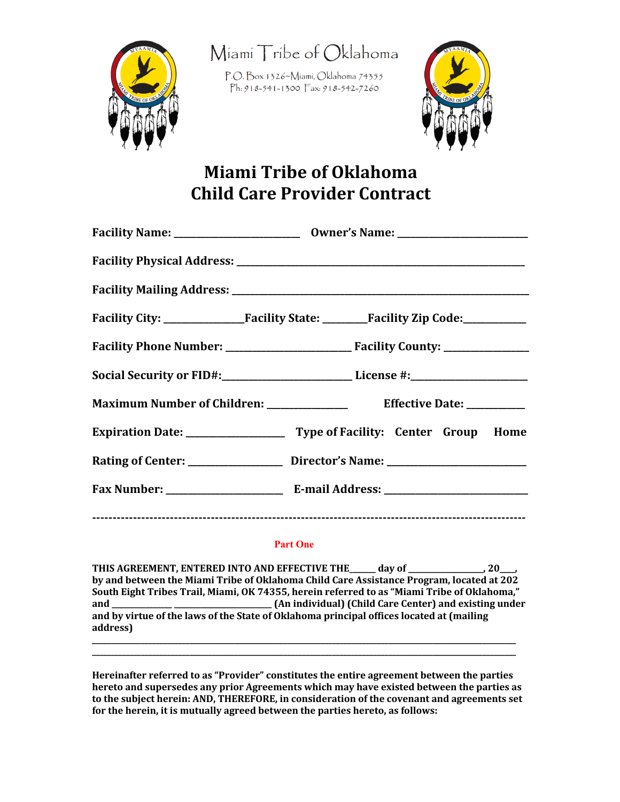

Miami Tribe of Oklahoma

P.O. Box 1326~Miami, Oklahoma 74355 Ph: 918-541-1300 Fax: 918-542-7260



# **Miami Tribe of Oklahoma Child Care Provider Contract**

| Social Security or FID#:___________________________License #:___________________                     |
|------------------------------------------------------------------------------------------------------|
|                                                                                                      |
|                                                                                                      |
| Rating of Center: __________________________________Director's Name: _______________________________ |
|                                                                                                      |
|                                                                                                      |

#### **Part One**

THIS AGREEMENT, ENTERED INTO AND EFFECTIVE THE \_\_\_\_\_ day of \_\_\_\_\_\_\_\_\_\_\_\_\_\_, 20\_\_ by and between the Miami Tribe of Oklahoma Child Care Assistance Program, located at 202 South Eight Tribes Trail, Miami, OK 74355, herein referred to as "Miami Tribe of Oklahoma," **and \_\_\_\_\_\_\_\_\_\_\_\_\_\_\_\_ \_\_\_\_\_\_\_\_\_\_\_\_\_\_\_\_\_\_\_\_\_\_\_\_\_\_ (An individual) (Child Care Center) and existing under**  and by virtue of the laws of the State of Oklahoma principal offices located at (mailing) **address) \_\_\_\_\_\_\_\_\_\_\_\_\_\_\_\_\_\_\_\_\_\_\_\_\_\_\_\_\_\_\_\_\_\_\_\_\_\_\_\_\_\_\_\_\_\_\_\_\_\_\_\_\_\_\_\_\_\_\_\_\_\_\_\_\_\_\_\_\_\_\_\_\_\_\_\_\_\_\_\_\_\_\_\_\_\_\_\_\_\_\_\_\_\_\_\_\_\_\_\_\_\_\_\_\_\_\_\_\_\_\_\_\_**

Hereinafter referred to as "Provider" constitutes the entire agreement between the parties hereto and supersedes any prior Agreements which may have existed between the parties as to the subject herein: AND, THEREFORE, in consideration of the covenant and agreements set for the herein, it is mutually agreed between the parties hereto, as follows:

**\_\_\_\_\_\_\_\_\_\_\_\_\_\_\_\_\_\_\_\_\_\_\_\_\_\_\_\_\_\_\_\_\_\_\_\_\_\_\_\_\_\_\_\_\_\_\_\_\_\_\_\_\_\_\_\_\_\_\_\_\_\_\_\_\_\_\_\_\_\_\_\_\_\_\_\_\_\_\_\_\_\_\_\_\_\_\_\_\_\_\_\_\_\_\_\_\_\_\_\_\_\_\_\_\_\_\_\_\_\_\_\_\_**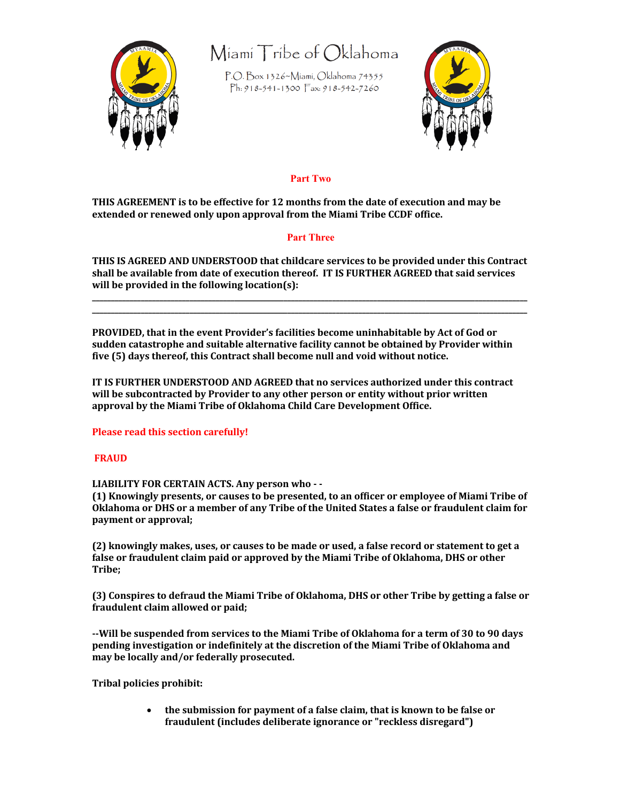

## Miami Tribe of Oklahoma

P.O. Box 1326~Miami, Oklahoma 74355 Ph: 918-541-1300  $\sqrt{7}$  ax: 918-542-7260



### **Part Two**

**THIS AGREEMENT** is to be effective for 12 months from the date of execution and may be extended or renewed only upon approval from the Miami Tribe CCDF office.

#### **Part Three**

THIS IS AGREED AND UNDERSTOOD that childcare services to be provided under this Contract shall be available from date of execution thereof. IT IS FURTHER AGREED that said services will be provided in the following location(s):

**\_\_\_\_\_\_\_\_\_\_\_\_\_\_\_\_\_\_\_\_\_\_\_\_\_\_\_\_\_\_\_\_\_\_\_\_\_\_\_\_\_\_\_\_\_\_\_\_\_\_\_\_\_\_\_\_\_\_\_\_\_\_\_\_\_\_\_\_\_\_\_\_\_\_\_\_\_\_\_\_\_\_\_\_\_\_\_\_\_\_\_\_\_\_\_\_\_\_\_\_\_\_\_\_\_\_\_\_\_\_\_\_\_\_\_\_ \_\_\_\_\_\_\_\_\_\_\_\_\_\_\_\_\_\_\_\_\_\_\_\_\_\_\_\_\_\_\_\_\_\_\_\_\_\_\_\_\_\_\_\_\_\_\_\_\_\_\_\_\_\_\_\_\_\_\_\_\_\_\_\_\_\_\_\_\_\_\_\_\_\_\_\_\_\_\_\_\_\_\_\_\_\_\_\_\_\_\_\_\_\_\_\_\_\_\_\_\_\_\_\_\_\_\_\_\_\_\_\_\_\_\_\_**

**PROVIDED, that in the event Provider's facilities become uninhabitable by Act of God or** sudden catastrophe and suitable alternative facility cannot be obtained by Provider within five (5) days thereof, this Contract shall become null and void without notice.

**IT IS FURTHER UNDERSTOOD AND AGREED that no services authorized under this contract** will be subcontracted by Provider to any other person or entity without prior written approval by the Miami Tribe of Oklahoma Child Care Development Office.

#### **Please read this section carefully!**

#### **FRAUD**

LIABILITY FOR CERTAIN ACTS. Any person who - -

(1) Knowingly presents, or causes to be presented, to an officer or employee of Miami Tribe of Oklahoma or DHS or a member of any Tribe of the United States a false or fraudulent claim for **payment** or approval;

**(2)** knowingly makes, uses, or causes to be made or used, a false record or statement to get a false or fraudulent claim paid or approved by the Miami Tribe of Oklahoma, DHS or other **Tribe;** 

**(3)** Conspires to defraud the Miami Tribe of Oklahoma, DHS or other Tribe by getting a false or fraudulent claim allowed or paid;

--Will be suspended from services to the Miami Tribe of Oklahoma for a term of 30 to 90 days pending investigation or indefinitely at the discretion of the Miami Tribe of Oklahoma and may be locally and/or federally prosecuted.

**Tribal policies prohibit:** 

• the submission for payment of a false claim, that is known to be false or fraudulent (includes deliberate ignorance or "reckless disregard")